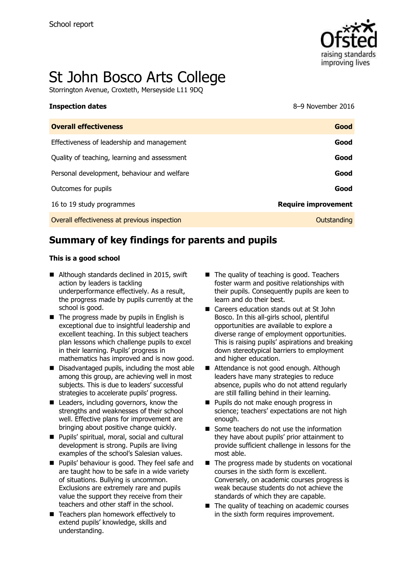

# St John Bosco Arts College

Storrington Avenue, Croxteth, Merseyside L11 9DQ

#### **Inspection dates** 8–9 November 2016

| <b>Overall effectiveness</b>                 | Good                       |
|----------------------------------------------|----------------------------|
| Effectiveness of leadership and management   | Good                       |
| Quality of teaching, learning and assessment | Good                       |
| Personal development, behaviour and welfare  | Good                       |
| Outcomes for pupils                          | Good                       |
| 16 to 19 study programmes                    | <b>Require improvement</b> |
| Overall effectiveness at previous inspection | Outstanding                |

# **Summary of key findings for parents and pupils**

#### **This is a good school**

- Although standards declined in 2015, swift action by leaders is tackling underperformance effectively. As a result, the progress made by pupils currently at the school is good.
- $\blacksquare$  The progress made by pupils in English is exceptional due to insightful leadership and excellent teaching. In this subject teachers plan lessons which challenge pupils to excel in their learning. Pupils' progress in mathematics has improved and is now good.
- Disadvantaged pupils, including the most able among this group, are achieving well in most subjects. This is due to leaders' successful strategies to accelerate pupils' progress.
- Leaders, including governors, know the strengths and weaknesses of their school well. Effective plans for improvement are bringing about positive change quickly.
- Pupils' spiritual, moral, social and cultural development is strong. Pupils are living examples of the school's Salesian values.
- **Pupils' behaviour is good. They feel safe and** are taught how to be safe in a wide variety of situations. Bullying is uncommon. Exclusions are extremely rare and pupils value the support they receive from their teachers and other staff in the school.
- Teachers plan homework effectively to extend pupils' knowledge, skills and understanding.
- The quality of teaching is good. Teachers foster warm and positive relationships with their pupils. Consequently pupils are keen to learn and do their best.
- Careers education stands out at St John Bosco. In this all-girls school, plentiful opportunities are available to explore a diverse range of employment opportunities. This is raising pupils' aspirations and breaking down stereotypical barriers to employment and higher education.
- Attendance is not good enough. Although leaders have many strategies to reduce absence, pupils who do not attend regularly are still falling behind in their learning.
- **Pupils do not make enough progress in** science; teachers' expectations are not high enough.
- Some teachers do not use the information they have about pupils' prior attainment to provide sufficient challenge in lessons for the most able.
- $\blacksquare$  The progress made by students on vocational courses in the sixth form is excellent. Conversely, on academic courses progress is weak because students do not achieve the standards of which they are capable.
- The quality of teaching on academic courses in the sixth form requires improvement.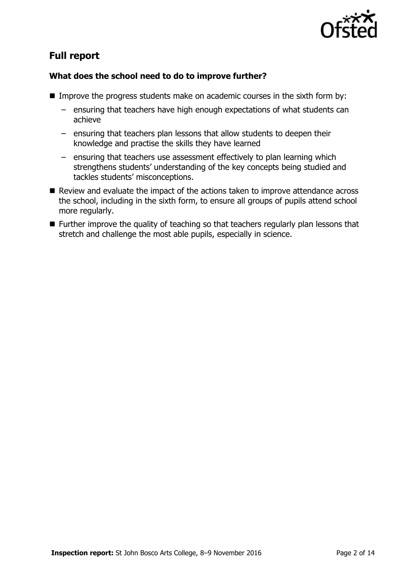

# **Full report**

### **What does the school need to do to improve further?**

- **IMPROM** Improve the progress students make on academic courses in the sixth form by:
	- ensuring that teachers have high enough expectations of what students can achieve
	- ensuring that teachers plan lessons that allow students to deepen their knowledge and practise the skills they have learned
	- ensuring that teachers use assessment effectively to plan learning which strengthens students' understanding of the key concepts being studied and tackles students' misconceptions.
- Review and evaluate the impact of the actions taken to improve attendance across the school, including in the sixth form, to ensure all groups of pupils attend school more regularly.
- **Further improve the quality of teaching so that teachers regularly plan lessons that** stretch and challenge the most able pupils, especially in science.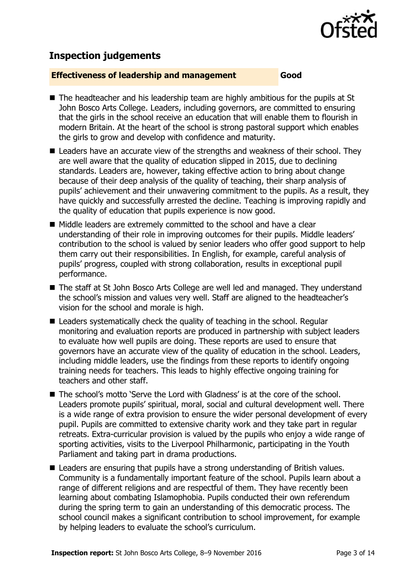

# **Inspection judgements**

#### **Effectiveness of leadership and management Good**

- The headteacher and his leadership team are highly ambitious for the pupils at St John Bosco Arts College. Leaders, including governors, are committed to ensuring that the girls in the school receive an education that will enable them to flourish in modern Britain. At the heart of the school is strong pastoral support which enables the girls to grow and develop with confidence and maturity.
- $\blacksquare$  Leaders have an accurate view of the strengths and weakness of their school. They are well aware that the quality of education slipped in 2015, due to declining standards. Leaders are, however, taking effective action to bring about change because of their deep analysis of the quality of teaching, their sharp analysis of pupils' achievement and their unwavering commitment to the pupils. As a result, they have quickly and successfully arrested the decline. Teaching is improving rapidly and the quality of education that pupils experience is now good.
- Middle leaders are extremely committed to the school and have a clear understanding of their role in improving outcomes for their pupils. Middle leaders' contribution to the school is valued by senior leaders who offer good support to help them carry out their responsibilities. In English, for example, careful analysis of pupils' progress, coupled with strong collaboration, results in exceptional pupil performance.
- The staff at St John Bosco Arts College are well led and managed. They understand the school's mission and values very well. Staff are aligned to the headteacher's vision for the school and morale is high.
- Leaders systematically check the quality of teaching in the school. Regular monitoring and evaluation reports are produced in partnership with subject leaders to evaluate how well pupils are doing. These reports are used to ensure that governors have an accurate view of the quality of education in the school. Leaders, including middle leaders, use the findings from these reports to identify ongoing training needs for teachers. This leads to highly effective ongoing training for teachers and other staff.
- The school's motto `Serve the Lord with Gladness' is at the core of the school. Leaders promote pupils' spiritual, moral, social and cultural development well. There is a wide range of extra provision to ensure the wider personal development of every pupil. Pupils are committed to extensive charity work and they take part in regular retreats. Extra-curricular provision is valued by the pupils who enjoy a wide range of sporting activities, visits to the Liverpool Philharmonic, participating in the Youth Parliament and taking part in drama productions.
- Leaders are ensuring that pupils have a strong understanding of British values. Community is a fundamentally important feature of the school. Pupils learn about a range of different religions and are respectful of them. They have recently been learning about combating Islamophobia. Pupils conducted their own referendum during the spring term to gain an understanding of this democratic process. The school council makes a significant contribution to school improvement, for example by helping leaders to evaluate the school's curriculum.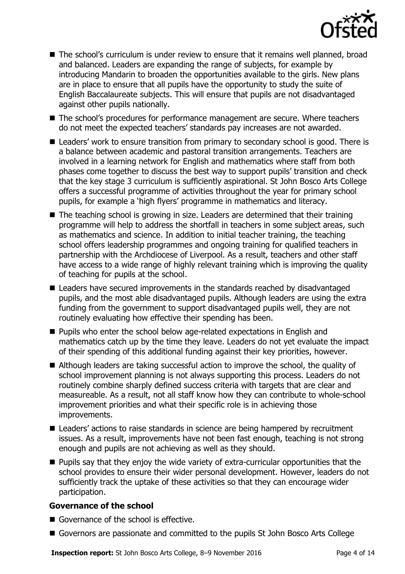

■ The school's curriculum is under review to ensure that it remains well planned, broad and balanced. Leaders are expanding the range of subjects, for example by introducing Mandarin to broaden the opportunities available to the girls. New plans are in place to ensure that all pupils have the opportunity to study the suite of English Baccalaureate subjects. This will ensure that pupils are not disadvantaged against other pupils nationally.

■ The school's procedures for performance management are secure. Where teachers do not meet the expected teachers' standards pay increases are not awarded.

- Leaders' work to ensure transition from primary to secondary school is good. There is a balance between academic and pastoral transition arrangements. Teachers are involved in a learning network for English and mathematics where staff from both phases come together to discuss the best way to support pupils' transition and check that the key stage 3 curriculum is sufficiently aspirational. St John Bosco Arts College offers a successful programme of activities throughout the year for primary school pupils, for example a 'high flyers' programme in mathematics and literacy.
- The teaching school is growing in size. Leaders are determined that their training programme will help to address the shortfall in teachers in some subject areas, such as mathematics and science. In addition to initial teacher training, the teaching school offers leadership programmes and ongoing training for qualified teachers in partnership with the Archdiocese of Liverpool. As a result, teachers and other staff have access to a wide range of highly relevant training which is improving the quality of teaching for pupils at the school.
- Leaders have secured improvements in the standards reached by disadvantaged pupils, and the most able disadvantaged pupils. Although leaders are using the extra funding from the government to support disadvantaged pupils well, they are not routinely evaluating how effective their spending has been.
- Pupils who enter the school below age-related expectations in English and mathematics catch up by the time they leave. Leaders do not yet evaluate the impact of their spending of this additional funding against their key priorities, however.
- Although leaders are taking successful action to improve the school, the quality of school improvement planning is not always supporting this process. Leaders do not routinely combine sharply defined success criteria with targets that are clear and measureable. As a result, not all staff know how they can contribute to whole-school improvement priorities and what their specific role is in achieving those improvements.
- Leaders' actions to raise standards in science are being hampered by recruitment issues. As a result, improvements have not been fast enough, teaching is not strong enough and pupils are not achieving as well as they should.
- **Pupils say that they enjoy the wide variety of extra-curricular opportunities that the** school provides to ensure their wider personal development. However, leaders do not sufficiently track the uptake of these activities so that they can encourage wider participation.

#### **Governance of the school**

- Governance of the school is effective.
- Governors are passionate and committed to the pupils St John Bosco Arts College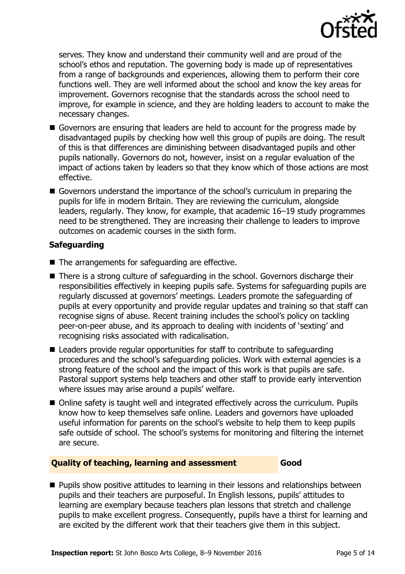

serves. They know and understand their community well and are proud of the school's ethos and reputation. The governing body is made up of representatives from a range of backgrounds and experiences, allowing them to perform their core functions well. They are well informed about the school and know the key areas for improvement. Governors recognise that the standards across the school need to improve, for example in science, and they are holding leaders to account to make the necessary changes.

- Governors are ensuring that leaders are held to account for the progress made by disadvantaged pupils by checking how well this group of pupils are doing. The result of this is that differences are diminishing between disadvantaged pupils and other pupils nationally. Governors do not, however, insist on a regular evaluation of the impact of actions taken by leaders so that they know which of those actions are most effective.
- Governors understand the importance of the school's curriculum in preparing the pupils for life in modern Britain. They are reviewing the curriculum, alongside leaders, regularly. They know, for example, that academic 16–19 study programmes need to be strengthened. They are increasing their challenge to leaders to improve outcomes on academic courses in the sixth form.

### **Safeguarding**

- The arrangements for safeguarding are effective.
- There is a strong culture of safeguarding in the school. Governors discharge their responsibilities effectively in keeping pupils safe. Systems for safeguarding pupils are regularly discussed at governors' meetings. Leaders promote the safeguarding of pupils at every opportunity and provide regular updates and training so that staff can recognise signs of abuse. Recent training includes the school's policy on tackling peer-on-peer abuse, and its approach to dealing with incidents of 'sexting' and recognising risks associated with radicalisation.
- Leaders provide regular opportunities for staff to contribute to safeguarding procedures and the school's safeguarding policies. Work with external agencies is a strong feature of the school and the impact of this work is that pupils are safe. Pastoral support systems help teachers and other staff to provide early intervention where issues may arise around a pupils' welfare.
- Online safety is taught well and integrated effectively across the curriculum. Pupils know how to keep themselves safe online. Leaders and governors have uploaded useful information for parents on the school's website to help them to keep pupils safe outside of school. The school's systems for monitoring and filtering the internet are secure.

#### **Quality of teaching, learning and assessment Good**

**Pupils show positive attitudes to learning in their lessons and relationships between** pupils and their teachers are purposeful. In English lessons, pupils' attitudes to learning are exemplary because teachers plan lessons that stretch and challenge pupils to make excellent progress. Consequently, pupils have a thirst for learning and are excited by the different work that their teachers give them in this subject.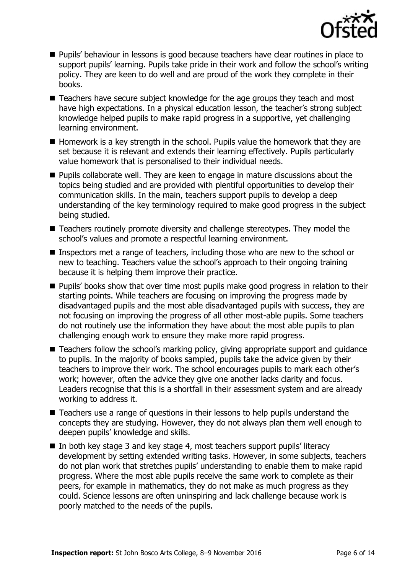

- **Pupils' behaviour in lessons is good because teachers have clear routines in place to** support pupils' learning. Pupils take pride in their work and follow the school's writing policy. They are keen to do well and are proud of the work they complete in their books.
- Teachers have secure subject knowledge for the age groups they teach and most have high expectations. In a physical education lesson, the teacher's strong subject knowledge helped pupils to make rapid progress in a supportive, yet challenging learning environment.
- Homework is a key strength in the school. Pupils value the homework that they are set because it is relevant and extends their learning effectively. Pupils particularly value homework that is personalised to their individual needs.
- $\blacksquare$  Pupils collaborate well. They are keen to engage in mature discussions about the topics being studied and are provided with plentiful opportunities to develop their communication skills. In the main, teachers support pupils to develop a deep understanding of the key terminology required to make good progress in the subject being studied.
- Teachers routinely promote diversity and challenge stereotypes. They model the school's values and promote a respectful learning environment.
- Inspectors met a range of teachers, including those who are new to the school or new to teaching. Teachers value the school's approach to their ongoing training because it is helping them improve their practice.
- **Pupils' books show that over time most pupils make good progress in relation to their** starting points. While teachers are focusing on improving the progress made by disadvantaged pupils and the most able disadvantaged pupils with success, they are not focusing on improving the progress of all other most-able pupils. Some teachers do not routinely use the information they have about the most able pupils to plan challenging enough work to ensure they make more rapid progress.
- Teachers follow the school's marking policy, giving appropriate support and guidance to pupils. In the majority of books sampled, pupils take the advice given by their teachers to improve their work. The school encourages pupils to mark each other's work; however, often the advice they give one another lacks clarity and focus. Leaders recognise that this is a shortfall in their assessment system and are already working to address it.
- Teachers use a range of questions in their lessons to help pupils understand the concepts they are studying. However, they do not always plan them well enough to deepen pupils' knowledge and skills.
- In both key stage 3 and key stage 4, most teachers support pupils' literacy development by setting extended writing tasks. However, in some subjects, teachers do not plan work that stretches pupils' understanding to enable them to make rapid progress. Where the most able pupils receive the same work to complete as their peers, for example in mathematics, they do not make as much progress as they could. Science lessons are often uninspiring and lack challenge because work is poorly matched to the needs of the pupils.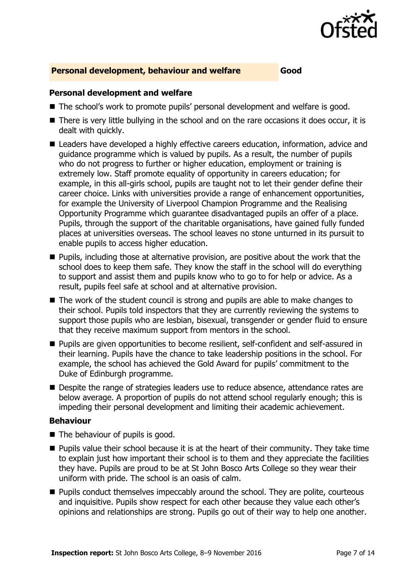

#### **Personal development, behaviour and welfare Good**

#### **Personal development and welfare**

- The school's work to promote pupils' personal development and welfare is good.
- There is very little bullying in the school and on the rare occasions it does occur, it is dealt with quickly.
- Leaders have developed a highly effective careers education, information, advice and guidance programme which is valued by pupils. As a result, the number of pupils who do not progress to further or higher education, employment or training is extremely low. Staff promote equality of opportunity in careers education; for example, in this all-girls school, pupils are taught not to let their gender define their career choice. Links with universities provide a range of enhancement opportunities, for example the University of Liverpool Champion Programme and the Realising Opportunity Programme which guarantee disadvantaged pupils an offer of a place. Pupils, through the support of the charitable organisations, have gained fully funded places at universities overseas. The school leaves no stone unturned in its pursuit to enable pupils to access higher education.
- **Pupils, including those at alternative provision, are positive about the work that the** school does to keep them safe. They know the staff in the school will do everything to support and assist them and pupils know who to go to for help or advice. As a result, pupils feel safe at school and at alternative provision.
- $\blacksquare$  The work of the student council is strong and pupils are able to make changes to their school. Pupils told inspectors that they are currently reviewing the systems to support those pupils who are lesbian, bisexual, transgender or gender fluid to ensure that they receive maximum support from mentors in the school.
- **Pupils are given opportunities to become resilient, self-confident and self-assured in** their learning. Pupils have the chance to take leadership positions in the school. For example, the school has achieved the Gold Award for pupils' commitment to the Duke of Edinburgh programme.
- Despite the range of strategies leaders use to reduce absence, attendance rates are below average. A proportion of pupils do not attend school regularly enough; this is impeding their personal development and limiting their academic achievement.

#### **Behaviour**

- $\blacksquare$  The behaviour of pupils is good.
- **Pupils value their school because it is at the heart of their community. They take time** to explain just how important their school is to them and they appreciate the facilities they have. Pupils are proud to be at St John Bosco Arts College so they wear their uniform with pride. The school is an oasis of calm.
- **Pupils conduct themselves impeccably around the school. They are polite, courteous** and inquisitive. Pupils show respect for each other because they value each other's opinions and relationships are strong. Pupils go out of their way to help one another.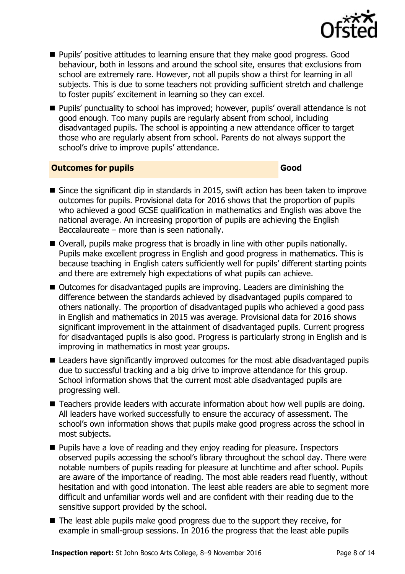

- Pupils' positive attitudes to learning ensure that they make good progress. Good behaviour, both in lessons and around the school site, ensures that exclusions from school are extremely rare. However, not all pupils show a thirst for learning in all subjects. This is due to some teachers not providing sufficient stretch and challenge to foster pupils' excitement in learning so they can excel.
- **Pupils'** punctuality to school has improved; however, pupils' overall attendance is not good enough. Too many pupils are regularly absent from school, including disadvantaged pupils. The school is appointing a new attendance officer to target those who are regularly absent from school. Parents do not always support the school's drive to improve pupils' attendance.

### **Outcomes for pupils Good**

- Since the significant dip in standards in 2015, swift action has been taken to improve outcomes for pupils. Provisional data for 2016 shows that the proportion of pupils who achieved a good GCSE qualification in mathematics and English was above the national average. An increasing proportion of pupils are achieving the English Baccalaureate – more than is seen nationally.
- Overall, pupils make progress that is broadly in line with other pupils nationally. Pupils make excellent progress in English and good progress in mathematics. This is because teaching in English caters sufficiently well for pupils' different starting points and there are extremely high expectations of what pupils can achieve.
- Outcomes for disadvantaged pupils are improving. Leaders are diminishing the difference between the standards achieved by disadvantaged pupils compared to others nationally. The proportion of disadvantaged pupils who achieved a good pass in English and mathematics in 2015 was average. Provisional data for 2016 shows significant improvement in the attainment of disadvantaged pupils. Current progress for disadvantaged pupils is also good. Progress is particularly strong in English and is improving in mathematics in most year groups.
- Leaders have significantly improved outcomes for the most able disadvantaged pupils due to successful tracking and a big drive to improve attendance for this group. School information shows that the current most able disadvantaged pupils are progressing well.
- Teachers provide leaders with accurate information about how well pupils are doing. All leaders have worked successfully to ensure the accuracy of assessment. The school's own information shows that pupils make good progress across the school in most subjects.
- **Pupils have a love of reading and they enjoy reading for pleasure. Inspectors** observed pupils accessing the school's library throughout the school day. There were notable numbers of pupils reading for pleasure at lunchtime and after school. Pupils are aware of the importance of reading. The most able readers read fluently, without hesitation and with good intonation. The least able readers are able to segment more difficult and unfamiliar words well and are confident with their reading due to the sensitive support provided by the school.
- The least able pupils make good progress due to the support they receive, for example in small-group sessions. In 2016 the progress that the least able pupils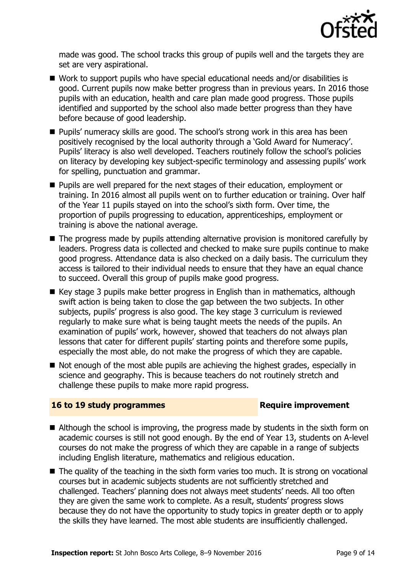

made was good. The school tracks this group of pupils well and the targets they are set are very aspirational.

- Work to support pupils who have special educational needs and/or disabilities is good. Current pupils now make better progress than in previous years. In 2016 those pupils with an education, health and care plan made good progress. Those pupils identified and supported by the school also made better progress than they have before because of good leadership.
- Pupils' numeracy skills are good. The school's strong work in this area has been positively recognised by the local authority through a 'Gold Award for Numeracy'. Pupils' literacy is also well developed. Teachers routinely follow the school's policies on literacy by developing key subject-specific terminology and assessing pupils' work for spelling, punctuation and grammar.
- **Pupils are well prepared for the next stages of their education, employment or** training. In 2016 almost all pupils went on to further education or training. Over half of the Year 11 pupils stayed on into the school's sixth form. Over time, the proportion of pupils progressing to education, apprenticeships, employment or training is above the national average.
- The progress made by pupils attending alternative provision is monitored carefully by leaders. Progress data is collected and checked to make sure pupils continue to make good progress. Attendance data is also checked on a daily basis. The curriculum they access is tailored to their individual needs to ensure that they have an equal chance to succeed. Overall this group of pupils make good progress.
- $\blacksquare$  Key stage 3 pupils make better progress in English than in mathematics, although swift action is being taken to close the gap between the two subjects. In other subjects, pupils' progress is also good. The key stage 3 curriculum is reviewed regularly to make sure what is being taught meets the needs of the pupils. An examination of pupils' work, however, showed that teachers do not always plan lessons that cater for different pupils' starting points and therefore some pupils, especially the most able, do not make the progress of which they are capable.
- Not enough of the most able pupils are achieving the highest grades, especially in science and geography. This is because teachers do not routinely stretch and challenge these pupils to make more rapid progress.

#### **16 to 19 study programmes Require improvement**

- Although the school is improving, the progress made by students in the sixth form on academic courses is still not good enough. By the end of Year 13, students on A-level courses do not make the progress of which they are capable in a range of subjects including English literature, mathematics and religious education.
- The quality of the teaching in the sixth form varies too much. It is strong on vocational courses but in academic subjects students are not sufficiently stretched and challenged. Teachers' planning does not always meet students' needs. All too often they are given the same work to complete. As a result, students' progress slows because they do not have the opportunity to study topics in greater depth or to apply the skills they have learned. The most able students are insufficiently challenged.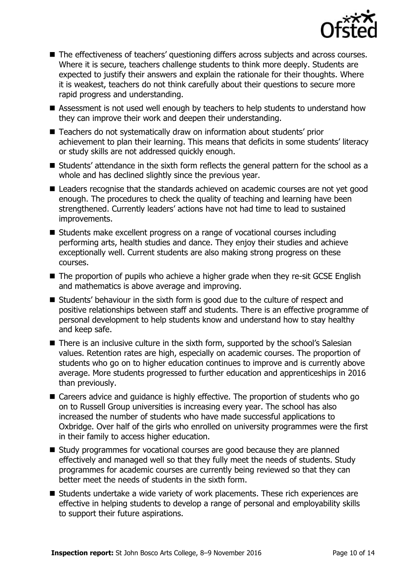

- The effectiveness of teachers' questioning differs across subjects and across courses. Where it is secure, teachers challenge students to think more deeply. Students are expected to justify their answers and explain the rationale for their thoughts. Where it is weakest, teachers do not think carefully about their questions to secure more rapid progress and understanding.
- Assessment is not used well enough by teachers to help students to understand how they can improve their work and deepen their understanding.
- Teachers do not systematically draw on information about students' prior achievement to plan their learning. This means that deficits in some students' literacy or study skills are not addressed quickly enough.
- Students' attendance in the sixth form reflects the general pattern for the school as a whole and has declined slightly since the previous year.
- Leaders recognise that the standards achieved on academic courses are not vet good enough. The procedures to check the quality of teaching and learning have been strengthened. Currently leaders' actions have not had time to lead to sustained improvements.
- Students make excellent progress on a range of vocational courses including performing arts, health studies and dance. They enjoy their studies and achieve exceptionally well. Current students are also making strong progress on these courses.
- The proportion of pupils who achieve a higher grade when they re-sit GCSE English and mathematics is above average and improving.
- Students' behaviour in the sixth form is good due to the culture of respect and positive relationships between staff and students. There is an effective programme of personal development to help students know and understand how to stay healthy and keep safe.
- There is an inclusive culture in the sixth form, supported by the school's Salesian values. Retention rates are high, especially on academic courses. The proportion of students who go on to higher education continues to improve and is currently above average. More students progressed to further education and apprenticeships in 2016 than previously.
- Careers advice and guidance is highly effective. The proportion of students who go on to Russell Group universities is increasing every year. The school has also increased the number of students who have made successful applications to Oxbridge. Over half of the girls who enrolled on university programmes were the first in their family to access higher education.
- Study programmes for vocational courses are good because they are planned effectively and managed well so that they fully meet the needs of students. Study programmes for academic courses are currently being reviewed so that they can better meet the needs of students in the sixth form.
- Students undertake a wide variety of work placements. These rich experiences are effective in helping students to develop a range of personal and employability skills to support their future aspirations.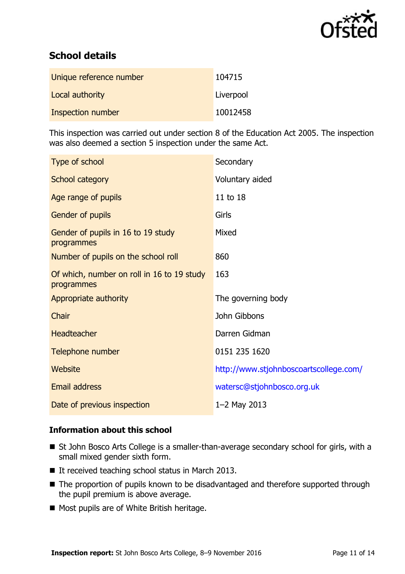

# **School details**

| Unique reference number | 104715    |
|-------------------------|-----------|
| Local authority         | Liverpool |
| Inspection number       | 10012458  |

This inspection was carried out under section 8 of the Education Act 2005. The inspection was also deemed a section 5 inspection under the same Act.

| Type of school                                           | Secondary                              |
|----------------------------------------------------------|----------------------------------------|
| School category                                          | Voluntary aided                        |
| Age range of pupils                                      | 11 to 18                               |
| Gender of pupils                                         | Girls                                  |
| Gender of pupils in 16 to 19 study<br>programmes         | Mixed                                  |
| Number of pupils on the school roll                      | 860                                    |
| Of which, number on roll in 16 to 19 study<br>programmes | 163                                    |
| Appropriate authority                                    | The governing body                     |
| Chair                                                    | John Gibbons                           |
| <b>Headteacher</b>                                       | Darren Gidman                          |
| Telephone number                                         | 0151 235 1620                          |
| <b>Website</b>                                           | http://www.stjohnboscoartscollege.com/ |
| Email address                                            | watersc@stjohnbosco.org.uk             |
| Date of previous inspection                              | $1 - 2$ May 2013                       |

#### **Information about this school**

- St John Bosco Arts College is a smaller-than-average secondary school for girls, with a small mixed gender sixth form.
- $\blacksquare$  It received teaching school status in March 2013.
- The proportion of pupils known to be disadvantaged and therefore supported through the pupil premium is above average.
- Most pupils are of White British heritage.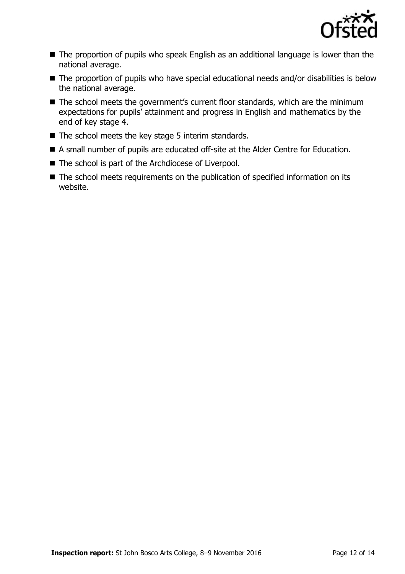

- The proportion of pupils who speak English as an additional language is lower than the national average.
- The proportion of pupils who have special educational needs and/or disabilities is below the national average.
- The school meets the government's current floor standards, which are the minimum expectations for pupils' attainment and progress in English and mathematics by the end of key stage 4.
- $\blacksquare$  The school meets the key stage 5 interim standards.
- A small number of pupils are educated off-site at the Alder Centre for Education.
- The school is part of the Archdiocese of Liverpool.
- The school meets requirements on the publication of specified information on its website.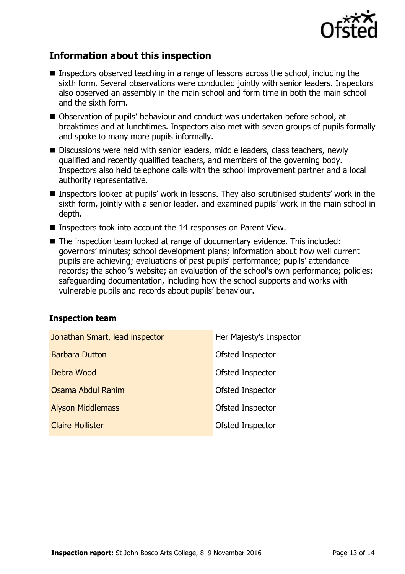

# **Information about this inspection**

- Inspectors observed teaching in a range of lessons across the school, including the sixth form. Several observations were conducted jointly with senior leaders. Inspectors also observed an assembly in the main school and form time in both the main school and the sixth form.
- Observation of pupils' behaviour and conduct was undertaken before school, at breaktimes and at lunchtimes. Inspectors also met with seven groups of pupils formally and spoke to many more pupils informally.
- Discussions were held with senior leaders, middle leaders, class teachers, newly qualified and recently qualified teachers, and members of the governing body. Inspectors also held telephone calls with the school improvement partner and a local authority representative.
- Inspectors looked at pupils' work in lessons. They also scrutinised students' work in the sixth form, jointly with a senior leader, and examined pupils' work in the main school in depth.
- Inspectors took into account the 14 responses on Parent View.
- The inspection team looked at range of documentary evidence. This included: governors' minutes; school development plans; information about how well current pupils are achieving; evaluations of past pupils' performance; pupils' attendance records; the school's website; an evaluation of the school's own performance; policies; safeguarding documentation, including how the school supports and works with vulnerable pupils and records about pupils' behaviour.

#### **Inspection team**

| Jonathan Smart, lead inspector | Her Majesty's Inspector |
|--------------------------------|-------------------------|
| <b>Barbara Dutton</b>          | Ofsted Inspector        |
| Debra Wood                     | Ofsted Inspector        |
| Osama Abdul Rahim              | Ofsted Inspector        |
| <b>Alyson Middlemass</b>       | Ofsted Inspector        |
| <b>Claire Hollister</b>        | Ofsted Inspector        |